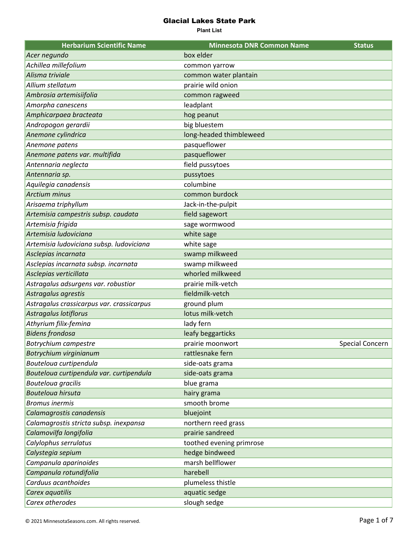| <b>Herbarium Scientific Name</b>          | <b>Minnesota DNR Common Name</b> | <b>Status</b>   |
|-------------------------------------------|----------------------------------|-----------------|
| Acer negundo                              | box elder                        |                 |
| Achillea millefolium                      | common yarrow                    |                 |
| Alisma triviale                           | common water plantain            |                 |
| Allium stellatum                          | prairie wild onion               |                 |
| Ambrosia artemisiifolia                   | common ragweed                   |                 |
| Amorpha canescens                         | leadplant                        |                 |
| Amphicarpaea bracteata                    | hog peanut                       |                 |
| Andropogon gerardii                       | big bluestem                     |                 |
| Anemone cylindrica                        | long-headed thimbleweed          |                 |
| Anemone patens                            | pasqueflower                     |                 |
| Anemone patens var. multifida             | pasqueflower                     |                 |
| Antennaria neglecta                       | field pussytoes                  |                 |
| Antennaria sp.                            | pussytoes                        |                 |
| Aquilegia canadensis                      | columbine                        |                 |
| <b>Arctium minus</b>                      | common burdock                   |                 |
| Arisaema triphyllum                       | Jack-in-the-pulpit               |                 |
| Artemisia campestris subsp. caudata       | field sagewort                   |                 |
| Artemisia frigida                         | sage wormwood                    |                 |
| Artemisia Iudoviciana                     | white sage                       |                 |
| Artemisia ludoviciana subsp. ludoviciana  | white sage                       |                 |
| Asclepias incarnata                       | swamp milkweed                   |                 |
| Asclepias incarnata subsp. incarnata      | swamp milkweed                   |                 |
| Asclepias verticillata                    | whorled milkweed                 |                 |
| Astragalus adsurgens var. robustior       | prairie milk-vetch               |                 |
| Astragalus agrestis                       | fieldmilk-vetch                  |                 |
| Astragalus crassicarpus var. crassicarpus | ground plum                      |                 |
| <b>Astragalus lotiflorus</b>              | lotus milk-vetch                 |                 |
| Athyrium filix-femina                     | lady fern                        |                 |
| <b>Bidens frondosa</b>                    | leafy beggarticks                |                 |
| Botrychium campestre                      | prairie moonwort                 | Special Concern |
| Botrychium virginianum                    | rattlesnake fern                 |                 |
| Bouteloua curtipendula                    | side-oats grama                  |                 |
| Bouteloua curtipendula var. curtipendula  | side-oats grama                  |                 |
| Bouteloua gracilis                        | blue grama                       |                 |
| <b>Bouteloua hirsuta</b>                  | hairy grama                      |                 |
| <b>Bromus inermis</b>                     | smooth brome                     |                 |
| Calamagrostis canadensis                  | bluejoint                        |                 |
| Calamagrostis stricta subsp. inexpansa    | northern reed grass              |                 |
| Calamovilfa longifolia                    | prairie sandreed                 |                 |
| Calylophus serrulatus                     | toothed evening primrose         |                 |
| Calystegia sepium                         | hedge bindweed                   |                 |
| Campanula aparinoides                     | marsh bellflower                 |                 |
| Campanula rotundifolia                    | harebell                         |                 |
| Carduus acanthoides                       | plumeless thistle                |                 |
| Carex aquatilis                           | aquatic sedge                    |                 |
| Carex atherodes                           | slough sedge                     |                 |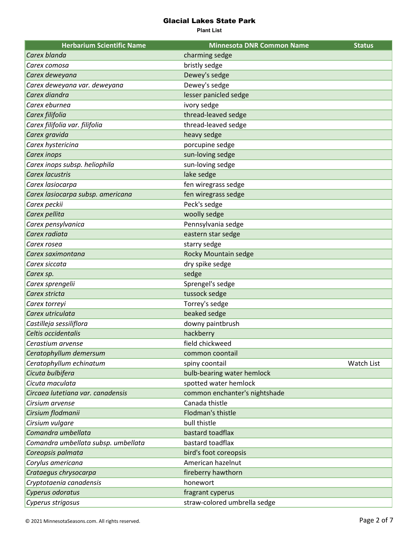| <b>Herbarium Scientific Name</b>    | <b>Minnesota DNR Common Name</b> | <b>Status</b> |
|-------------------------------------|----------------------------------|---------------|
| Carex blanda                        | charming sedge                   |               |
| Carex comosa                        | bristly sedge                    |               |
| Carex deweyana                      | Dewey's sedge                    |               |
| Carex deweyana var. deweyana        | Dewey's sedge                    |               |
| Carex diandra                       | lesser panicled sedge            |               |
| Carex eburnea                       | ivory sedge                      |               |
| Carex filifolia                     | thread-leaved sedge              |               |
| Carex filifolia var. filifolia      | thread-leaved sedge              |               |
| Carex gravida                       | heavy sedge                      |               |
| Carex hystericina                   | porcupine sedge                  |               |
| Carex inops                         | sun-loving sedge                 |               |
| Carex inops subsp. heliophila       | sun-loving sedge                 |               |
| Carex lacustris                     | lake sedge                       |               |
| Carex lasiocarpa                    | fen wiregrass sedge              |               |
| Carex lasiocarpa subsp. americana   | fen wiregrass sedge              |               |
| Carex peckii                        | Peck's sedge                     |               |
| Carex pellita                       | woolly sedge                     |               |
| Carex pensylvanica                  | Pennsylvania sedge               |               |
| Carex radiata                       | eastern star sedge               |               |
| Carex rosea                         | starry sedge                     |               |
| Carex saximontana                   | Rocky Mountain sedge             |               |
| Carex siccata                       | dry spike sedge                  |               |
| Carex sp.                           | sedge                            |               |
| Carex sprengelii                    | Sprengel's sedge                 |               |
| Carex stricta                       | tussock sedge                    |               |
| Carex torreyi                       | Torrey's sedge                   |               |
| Carex utriculata                    | beaked sedge                     |               |
| Castilleja sessiliflora             | downy paintbrush                 |               |
| Celtis occidentalis                 | hackberry                        |               |
| Cerastium arvense                   | field chickweed                  |               |
| Ceratophyllum demersum              | common coontail                  |               |
| Ceratophyllum echinatum             | spiny coontail                   | Watch List    |
| Cicuta bulbifera                    | bulb-bearing water hemlock       |               |
| Cicuta maculata                     | spotted water hemlock            |               |
| Circaea lutetiana var. canadensis   | common enchanter's nightshade    |               |
| Cirsium arvense                     | Canada thistle                   |               |
| Cirsium flodmanii                   | <b>Flodman's thistle</b>         |               |
| Cirsium vulgare                     | bull thistle                     |               |
| Comandra umbellata                  | bastard toadflax                 |               |
| Comandra umbellata subsp. umbellata | bastard toadflax                 |               |
| Coreopsis palmata                   | bird's foot coreopsis            |               |
| Corylus americana                   | American hazelnut                |               |
| Crataegus chrysocarpa               | fireberry hawthorn               |               |
| Cryptotaenia canadensis             | honewort                         |               |
| Cyperus odoratus                    | fragrant cyperus                 |               |
| Cyperus strigosus                   | straw-colored umbrella sedge     |               |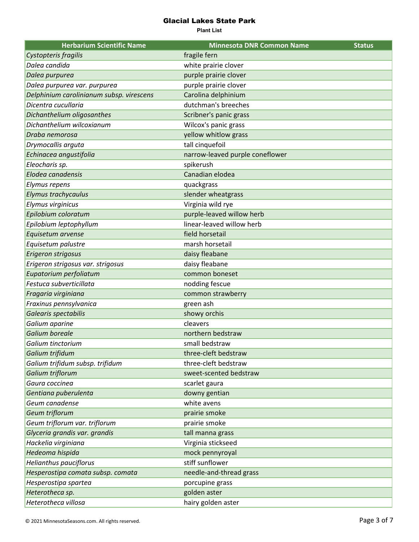| <b>Herbarium Scientific Name</b>         | <b>Minnesota DNR Common Name</b> | <b>Status</b> |
|------------------------------------------|----------------------------------|---------------|
| Cystopteris fragilis                     | fragile fern                     |               |
| Dalea candida                            | white prairie clover             |               |
| Dalea purpurea                           | purple prairie clover            |               |
| Dalea purpurea var. purpurea             | purple prairie clover            |               |
| Delphinium carolinianum subsp. virescens | Carolina delphinium              |               |
| Dicentra cucullaria                      | dutchman's breeches              |               |
| Dichanthelium oligosanthes               | Scribner's panic grass           |               |
| Dichanthelium wilcoxianum                | Wilcox's panic grass             |               |
| Draba nemorosa                           | yellow whitlow grass             |               |
| Drymocallis arguta                       | tall cinquefoil                  |               |
| Echinacea angustifolia                   | narrow-leaved purple coneflower  |               |
| Eleocharis sp.                           | spikerush                        |               |
| Elodea canadensis                        | Canadian elodea                  |               |
| Elymus repens                            | quackgrass                       |               |
| Elymus trachycaulus                      | slender wheatgrass               |               |
| Elymus virginicus                        | Virginia wild rye                |               |
| Epilobium coloratum                      | purple-leaved willow herb        |               |
| Epilobium leptophyllum                   | linear-leaved willow herb        |               |
| Equisetum arvense                        | field horsetail                  |               |
| Equisetum palustre                       | marsh horsetail                  |               |
| Erigeron strigosus                       | daisy fleabane                   |               |
| Erigeron strigosus var. strigosus        | daisy fleabane                   |               |
| Eupatorium perfoliatum                   | common boneset                   |               |
| Festuca subverticillata                  | nodding fescue                   |               |
| Fragaria virginiana                      | common strawberry                |               |
| Fraxinus pennsylvanica                   | green ash                        |               |
| Galearis spectabilis                     | showy orchis                     |               |
| Galium aparine                           | cleavers                         |               |
| Galium boreale                           | northern bedstraw                |               |
| Galium tinctorium                        | small bedstraw                   |               |
| Galium trifidum                          | three-cleft bedstraw             |               |
| Galium trifidum subsp. trifidum          | three-cleft bedstraw             |               |
| Galium triflorum                         | sweet-scented bedstraw           |               |
| Gaura coccinea                           | scarlet gaura                    |               |
| Gentiana puberulenta                     | downy gentian                    |               |
| Geum canadense                           | white avens                      |               |
| Geum triflorum                           | prairie smoke                    |               |
| Geum triflorum var. triflorum            | prairie smoke                    |               |
| Glyceria grandis var. grandis            | tall manna grass                 |               |
| Hackelia virginiana                      | Virginia stickseed               |               |
| Hedeoma hispida                          | mock pennyroyal                  |               |
| Helianthus pauciflorus                   | stiff sunflower                  |               |
| Hesperostipa comata subsp. comata        | needle-and-thread grass          |               |
| Hesperostipa spartea                     | porcupine grass                  |               |
| Heterotheca sp.                          | golden aster                     |               |
| Heterotheca villosa                      | hairy golden aster               |               |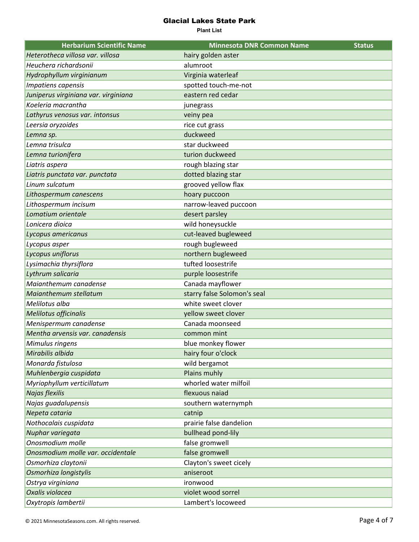| <b>Herbarium Scientific Name</b>     | <b>Minnesota DNR Common Name</b> | <b>Status</b> |
|--------------------------------------|----------------------------------|---------------|
| Heterotheca villosa var. villosa     | hairy golden aster               |               |
| Heuchera richardsonii                | alumroot                         |               |
| Hydrophyllum virginianum             | Virginia waterleaf               |               |
| Impatiens capensis                   | spotted touch-me-not             |               |
| Juniperus virginiana var. virginiana | eastern red cedar                |               |
| Koeleria macrantha                   | junegrass                        |               |
| Lathyrus venosus var. intonsus       | veiny pea                        |               |
| Leersia oryzoides                    | rice cut grass                   |               |
| Lemna sp.                            | duckweed                         |               |
| Lemna trisulca                       | star duckweed                    |               |
| Lemna turionifera                    | turion duckweed                  |               |
| Liatris aspera                       | rough blazing star               |               |
| Liatris punctata var. punctata       | dotted blazing star              |               |
| Linum sulcatum                       | grooved yellow flax              |               |
| Lithospermum canescens               | hoary puccoon                    |               |
| Lithospermum incisum                 | narrow-leaved puccoon            |               |
| Lomatium orientale                   | desert parsley                   |               |
| Lonicera dioica                      | wild honeysuckle                 |               |
| Lycopus americanus                   | cut-leaved bugleweed             |               |
| Lycopus asper                        | rough bugleweed                  |               |
| Lycopus uniflorus                    | northern bugleweed               |               |
| Lysimachia thyrsiflora               | tufted loosestrife               |               |
| Lythrum salicaria                    | purple loosestrife               |               |
| Maianthemum canadense                | Canada mayflower                 |               |
| Maianthemum stellatum                | starry false Solomon's seal      |               |
| Melilotus alba                       | white sweet clover               |               |
| Melilotus officinalis                | yellow sweet clover              |               |
| Menispermum canadense                | Canada moonseed                  |               |
| Mentha arvensis var. canadensis      | common mint                      |               |
| Mimulus ringens                      | blue monkey flower               |               |
| Mirabilis albida                     | hairy four o'clock               |               |
| Monarda fistulosa                    | wild bergamot                    |               |
| Muhlenbergia cuspidata               | Plains muhly                     |               |
| Myriophyllum verticillatum           | whorled water milfoil            |               |
| Najas flexilis                       | flexuous naiad                   |               |
| Najas guadalupensis                  | southern waternymph              |               |
| Nepeta cataria                       | catnip                           |               |
| Nothocalais cuspidata                | prairie false dandelion          |               |
| Nuphar variegata                     | bullhead pond-lily               |               |
| Onosmodium molle                     | false gromwell                   |               |
| Onosmodium molle var. occidentale    | false gromwell                   |               |
| Osmorhiza claytonii                  | Clayton's sweet cicely           |               |
| Osmorhiza longistylis                | aniseroot                        |               |
| Ostrya virginiana                    | ironwood                         |               |
| Oxalis violacea                      | violet wood sorrel               |               |
| Oxytropis lambertii                  | Lambert's locoweed               |               |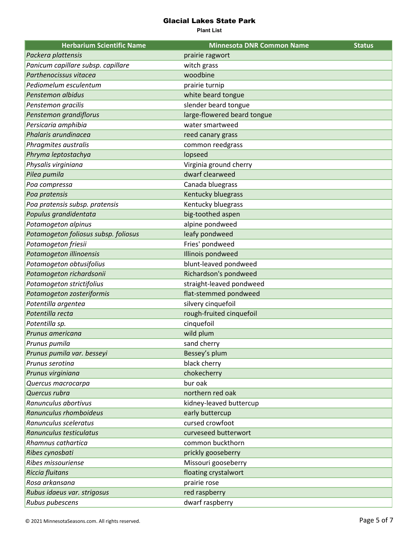| <b>Herbarium Scientific Name</b>     | <b>Minnesota DNR Common Name</b> | <b>Status</b> |
|--------------------------------------|----------------------------------|---------------|
| Packera plattensis                   | prairie ragwort                  |               |
| Panicum capillare subsp. capillare   | witch grass                      |               |
| Parthenocissus vitacea               | woodbine                         |               |
| Pediomelum esculentum                | prairie turnip                   |               |
| Penstemon albidus                    | white beard tongue               |               |
| Penstemon gracilis                   | slender beard tongue             |               |
| Penstemon grandiflorus               | large-flowered beard tongue      |               |
| Persicaria amphibia                  | water smartweed                  |               |
| Phalaris arundinacea                 | reed canary grass                |               |
| Phragmites australis                 | common reedgrass                 |               |
| Phryma leptostachya                  | lopseed                          |               |
| Physalis virginiana                  | Virginia ground cherry           |               |
| Pilea pumila                         | dwarf clearweed                  |               |
| Poa compressa                        | Canada bluegrass                 |               |
| Poa pratensis                        | Kentucky bluegrass               |               |
| Poa pratensis subsp. pratensis       | Kentucky bluegrass               |               |
| Populus grandidentata                | big-toothed aspen                |               |
| Potamogeton alpinus                  | alpine pondweed                  |               |
| Potamogeton foliosus subsp. foliosus | leafy pondweed                   |               |
| Potamogeton friesii                  | Fries' pondweed                  |               |
| Potamogeton illinoensis              | Illinois pondweed                |               |
| Potamogeton obtusifolius             | blunt-leaved pondweed            |               |
| Potamogeton richardsonii             | Richardson's pondweed            |               |
| Potamogeton strictifolius            | straight-leaved pondweed         |               |
| Potamogeton zosteriformis            | flat-stemmed pondweed            |               |
| Potentilla argentea                  | silvery cinquefoil               |               |
| Potentilla recta                     | rough-fruited cinquefoil         |               |
| Potentilla sp.                       | cinquefoil                       |               |
| Prunus americana                     | wild plum                        |               |
| Prunus pumila                        | sand cherry                      |               |
| Prunus pumila var. besseyi           | Bessey's plum                    |               |
| Prunus serotina                      | black cherry                     |               |
| Prunus virginiana                    | chokecherry                      |               |
| Quercus macrocarpa                   | bur oak                          |               |
| Quercus rubra                        | northern red oak                 |               |
| Ranunculus abortivus                 | kidney-leaved buttercup          |               |
| Ranunculus rhomboideus               | early buttercup                  |               |
| Ranunculus sceleratus                | cursed crowfoot                  |               |
| Ranunculus testiculatus              | curveseed butterwort             |               |
| Rhamnus cathartica                   | common buckthorn                 |               |
| Ribes cynosbati                      | prickly gooseberry               |               |
| Ribes missouriense                   | Missouri gooseberry              |               |
| <b>Riccia fluitans</b>               | floating crystalwort             |               |
| Rosa arkansana                       | prairie rose                     |               |
| Rubus idaeus var. strigosus          | red raspberry                    |               |
| Rubus pubescens                      | dwarf raspberry                  |               |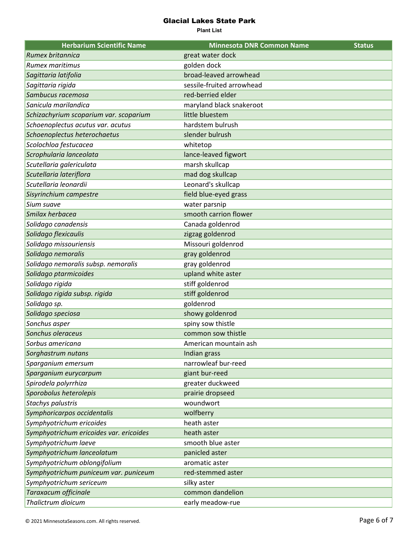| <b>Herbarium Scientific Name</b>        | <b>Minnesota DNR Common Name</b> | <b>Status</b> |
|-----------------------------------------|----------------------------------|---------------|
| Rumex britannica                        | great water dock                 |               |
| Rumex maritimus                         | golden dock                      |               |
| Sagittaria latifolia                    | broad-leaved arrowhead           |               |
| Sagittaria rigida                       | sessile-fruited arrowhead        |               |
| Sambucus racemosa                       | red-berried elder                |               |
| Sanicula marilandica                    | maryland black snakeroot         |               |
| Schizachyrium scoparium var. scoparium  | little bluestem                  |               |
| Schoenoplectus acutus var. acutus       | hardstem bulrush                 |               |
| Schoenoplectus heterochaetus            | slender bulrush                  |               |
| Scolochloa festucacea                   | whitetop                         |               |
| Scrophularia lanceolata                 | lance-leaved figwort             |               |
| Scutellaria galericulata                | marsh skullcap                   |               |
| Scutellaria lateriflora                 | mad dog skullcap                 |               |
| Scutellaria leonardii                   | Leonard's skullcap               |               |
| Sisyrinchium campestre                  | field blue-eyed grass            |               |
| Sium suave                              | water parsnip                    |               |
| Smilax herbacea                         | smooth carrion flower            |               |
| Solidago canadensis                     | Canada goldenrod                 |               |
| Solidago flexicaulis                    | zigzag goldenrod                 |               |
| Solidago missouriensis                  | Missouri goldenrod               |               |
| Solidago nemoralis                      | gray goldenrod                   |               |
| Solidago nemoralis subsp. nemoralis     | gray goldenrod                   |               |
| Solidago ptarmicoides                   | upland white aster               |               |
| Solidago rigida                         | stiff goldenrod                  |               |
| Solidago rigida subsp. rigida           | stiff goldenrod                  |               |
| Solidago sp.                            | goldenrod                        |               |
| Solidago speciosa                       | showy goldenrod                  |               |
| Sonchus asper                           | spiny sow thistle                |               |
| Sonchus oleraceus                       | common sow thistle               |               |
| Sorbus americana                        | American mountain ash            |               |
| Sorghastrum nutans                      | Indian grass                     |               |
| Sparganium emersum                      | narrowleaf bur-reed              |               |
| Sparganium eurycarpum                   | giant bur-reed                   |               |
| Spirodela polyrrhiza                    | greater duckweed                 |               |
| Sporobolus heterolepis                  | prairie dropseed                 |               |
| Stachys palustris                       | woundwort                        |               |
| Symphoricarpos occidentalis             | wolfberry                        |               |
| Symphyotrichum ericoides                | heath aster                      |               |
| Symphyotrichum ericoides var. ericoides | heath aster                      |               |
| Symphyotrichum laeve                    | smooth blue aster                |               |
| Symphyotrichum lanceolatum              | panicled aster                   |               |
| Symphyotrichum oblongifolium            | aromatic aster                   |               |
| Symphyotrichum puniceum var. puniceum   | red-stemmed aster                |               |
| Symphyotrichum sericeum                 | silky aster                      |               |
| Taraxacum officinale                    | common dandelion                 |               |
| Thalictrum dioicum                      | early meadow-rue                 |               |